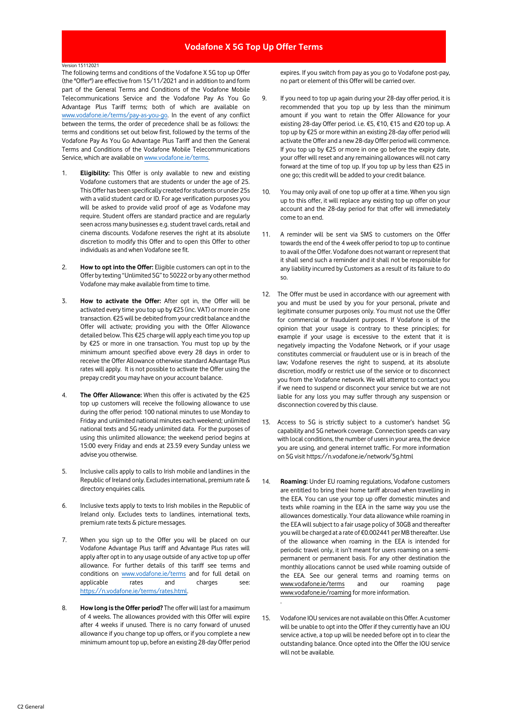## **Vodafone X 5G Top Up Offer Terms**

## Version 15112021

The following terms and conditions of the Vodafone X 5G top up Offer (the "Offer") are effective from 15/11/2021 and in addition to and form part of the General Terms and Conditions of the Vodafone Mobile Telecommunications Service and the Vodafone Pay As You Go Advantage Plus Tariff terms; both of which are available on [www.vodafone.ie/terms/pay-as-you-go.](https://n.vodafone.ie/terms/pay-as-you-go.html) In the event of any conflict between the terms, the order of precedence shall be as follows: the terms and conditions set out below first, followed by the terms of the Vodafone Pay As You Go Advantage Plus Tariff and then the General Terms and Conditions of the Vodafone Mobile Telecommunications Service, which are available o[n www.vodafone.ie/terms.](http://www.vodafone.ie/terms)

- 1. **Eligibility:** This Offer is only available to new and existing Vodafone customers that are students or under the age of 25. This Offer has been specifically created for students or under 25s with a valid student card or ID. For age verification purposes you will be asked to provide valid proof of age as Vodafone may require. Student offers are standard practice and are regularly seen across many businesses e.g. student travel cards, retail and cinema discounts. Vodafone reserves the right at its absolute discretion to modify this Offer and to open this Offer to other individuals as and when Vodafone see fit.
- 2. **How to opt into the Offer:** Eligible customers can opt in to the Offer by texting "Unlimited 5G"to 50222 or by any other method Vodafone may make available from time to time.
- 3. **How to activate the Offer:** After opt in, the Offer will be activated every time you top up by €25 (inc. VAT) or more in one transaction. €25will be debited from your credit balance and the Offer will activate; providing you with the Offer Allowance detailed below. This €25 charge will apply each time you top up by €25 or more in one transaction. You must top up by the minimum amount specified above every 28 days in order to receive the Offer Allowance otherwise standard Advantage Plus rates will apply. It is not possible to activate the Offer using the prepay credit you may have on your account balance.
- 4. **The Offer Allowance:** When this offer is activated by the €25 top up customers will receive the following allowance to use during the offer period: 100 national minutes to use Monday to Friday and unlimited national minutes each weekend; unlimited national texts and 5G ready unlimited data. For the purposes of using this unlimited allowance; the weekend period begins at 15:00 every Friday and ends at 23.59 every Sunday unless we advise you otherwise.
- 5. Inclusive calls apply to calls to Irish mobile and landlines in the Republic of Ireland only. Excludes international, premium rate & directory enquiries calls.
- 6. Inclusive texts apply to texts to Irish mobiles in the Republic of Ireland only. Excludes texts to landlines, international texts, premium rate texts & picture messages.
- 7. When you sign up to the Offer you will be placed on our Vodafone Advantage Plus tariff and Advantage Plus rates will apply after opt in to any usage outside of any active top up offer allowance. For further details of this tariff see terms and conditions on [www.vodafone.ie/terms](http://www.vodafone.ie/terms) and for full detail on applicable rates and charges see: [https://n.vodafone.ie/terms/rates.html.](https://n.vodafone.ie/terms/rates.html)
- 8. **How long is the Offer period?** The offer will last for a maximum of 4 weeks. The allowances provided with this Offer will expire after 4 weeks if unused. There is no carry forward of unused allowance if you change top up offers, or if you complete a new minimum amount top up, before an existing 28-day Offer period

expires. If you switch from pay as you go to Vodafone post-pay, no part or element of this Offer will be carried over.

- 9. If you need to top up again during your 28-day offer period, it is recommended that you top up by less than the minimum amount if you want to retain the Offer Allowance for your existing 28-day Offer period. i.e. €5, €10, €15 and €20 top up. A top up by €25 or more within an existing 28-day offer period will activate the Offer and a new 28-day Offer period will commence. If you top up by €25 or more in one go before the expiry date, your offer will reset and any remaining allowances will not carry forward at the time of top up. If you top up by less than €25 in one go; this credit will be added to your credit balance.
- 10. You may only avail of one top up offer at a time. When you sign up to this offer, it will replace any existing top up offer on your account and the 28-day period for that offer will immediately come to an end.
- 11. A reminder will be sent via SMS to customers on the Offer towards the end of the 4 week offer period to top up to continue to avail of the Offer. Vodafone does not warrant or represent that it shall send such a reminder and it shall not be responsible for any liability incurred by Customers as a result of its failure to do so.
- 12. The Offer must be used in accordance with our agreement with you and must be used by you for your personal, private and legitimate consumer purposes only. You must not use the Offer for commercial or fraudulent purposes. If Vodafone is of the opinion that your usage is contrary to these principles; for example if your usage is excessive to the extent that it is negatively impacting the Vodafone Network, or if your usage constitutes commercial or fraudulent use or is in breach of the law; Vodafone reserves the right to suspend, at its absolute discretion, modify or restrict use of the service or to disconnect you from the Vodafone network. We will attempt to contact you if we need to suspend or disconnect your service but we are not liable for any loss you may suffer through any suspension or disconnection covered by this clause.
- Access to 5G is strictly subject to a customer's handset 5G capability and 5G network coverage. Connection speeds can vary with local conditions, the number of users in your area, the device you are using, and general internet traffic. For more information on 5G visit https://n.vodafone.ie/network/5g.html
- 14. **Roaming:** Under EU roaming regulations, Vodafone customers are entitled to bring their home tariff abroad when travelling in the EEA. You can use your top up offer domestic minutes and texts while roaming in the EEA in the same way you use the allowances domestically. Your data allowance while roaming in the EEA will subject to a fair usage policy of 30GB and thereafter you will be charged at a rate of €0.002441 per MB thereafter. Use of the allowance when roaming in the EEA is intended for periodic travel only, it isn't meant for users roaming on a semipermanent or permanent basis. For any other destination the monthly allocations cannot be used while roaming outside of the EEA. See our general terms and roaming terms on [www.vodafone.ie/terms](http://www.vodafone.ie/terms) and our roaming page [www.vodafone.ie/roaming](http://www.vodafone.ie/roaming) for more information.
- 15. Vodafone IOU services are not available on this Offer. A customer will be unable to opt into the Offer if they currently have an IOU service active, a top up will be needed before opt in to clear the outstanding balance. Once opted into the Offer the IOU service will not be available.

.